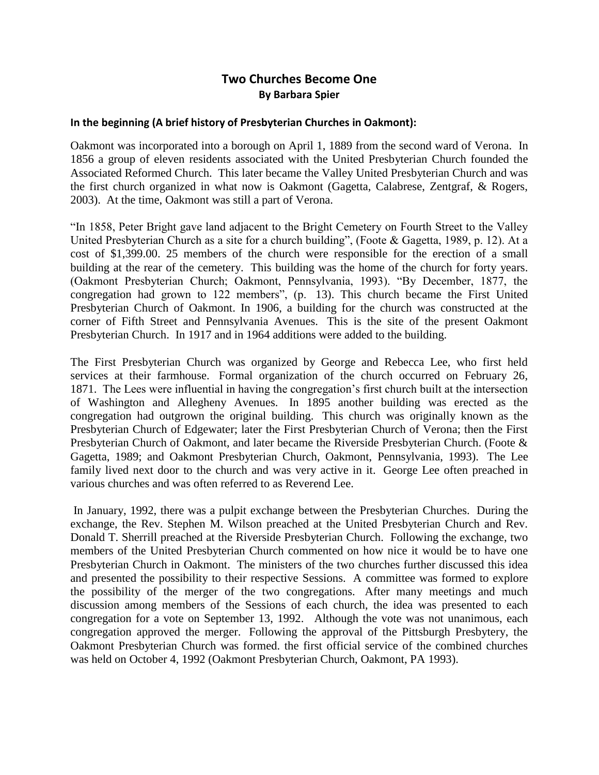# **Two Churches Become One By Barbara Spier**

#### **In the beginning (A brief history of Presbyterian Churches in Oakmont):**

Oakmont was incorporated into a borough on April 1, 1889 from the second ward of Verona. In 1856 a group of eleven residents associated with the United Presbyterian Church founded the Associated Reformed Church. This later became the Valley United Presbyterian Church and was the first church organized in what now is Oakmont (Gagetta, Calabrese, Zentgraf, & Rogers, 2003). At the time, Oakmont was still a part of Verona.

"In 1858, Peter Bright gave land adjacent to the Bright Cemetery on Fourth Street to the Valley United Presbyterian Church as a site for a church building", (Foote & Gagetta, 1989, p. 12). At a cost of \$1,399.00. 25 members of the church were responsible for the erection of a small building at the rear of the cemetery. This building was the home of the church for forty years. (Oakmont Presbyterian Church; Oakmont, Pennsylvania, 1993). "By December, 1877, the congregation had grown to 122 members", (p. 13). This church became the First United Presbyterian Church of Oakmont. In 1906, a building for the church was constructed at the corner of Fifth Street and Pennsylvania Avenues. This is the site of the present Oakmont Presbyterian Church. In 1917 and in 1964 additions were added to the building.

The First Presbyterian Church was organized by George and Rebecca Lee, who first held services at their farmhouse. Formal organization of the church occurred on February 26, 1871. The Lees were influential in having the congregation's first church built at the intersection of Washington and Allegheny Avenues. In 1895 another building was erected as the congregation had outgrown the original building. This church was originally known as the Presbyterian Church of Edgewater; later the First Presbyterian Church of Verona; then the First Presbyterian Church of Oakmont, and later became the Riverside Presbyterian Church. (Foote & Gagetta, 1989; and Oakmont Presbyterian Church, Oakmont, Pennsylvania, 1993). The Lee family lived next door to the church and was very active in it. George Lee often preached in various churches and was often referred to as Reverend Lee.

In January, 1992, there was a pulpit exchange between the Presbyterian Churches. During the exchange, the Rev. Stephen M. Wilson preached at the United Presbyterian Church and Rev. Donald T. Sherrill preached at the Riverside Presbyterian Church. Following the exchange, two members of the United Presbyterian Church commented on how nice it would be to have one Presbyterian Church in Oakmont. The ministers of the two churches further discussed this idea and presented the possibility to their respective Sessions. A committee was formed to explore the possibility of the merger of the two congregations. After many meetings and much discussion among members of the Sessions of each church, the idea was presented to each congregation for a vote on September 13, 1992. Although the vote was not unanimous, each congregation approved the merger. Following the approval of the Pittsburgh Presbytery, the Oakmont Presbyterian Church was formed. the first official service of the combined churches was held on October 4, 1992 (Oakmont Presbyterian Church, Oakmont, PA 1993).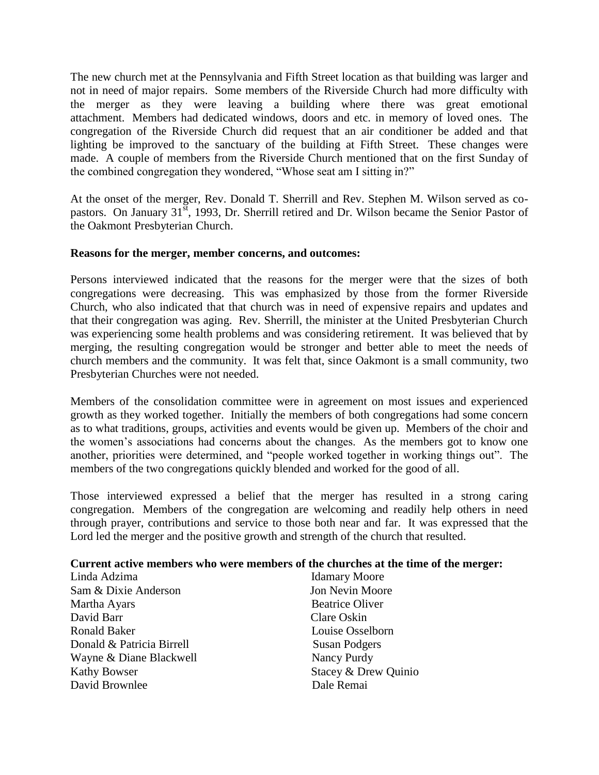The new church met at the Pennsylvania and Fifth Street location as that building was larger and not in need of major repairs. Some members of the Riverside Church had more difficulty with the merger as they were leaving a building where there was great emotional attachment. Members had dedicated windows, doors and etc. in memory of loved ones. The congregation of the Riverside Church did request that an air conditioner be added and that lighting be improved to the sanctuary of the building at Fifth Street. These changes were made. A couple of members from the Riverside Church mentioned that on the first Sunday of the combined congregation they wondered, "Whose seat am I sitting in?"

At the onset of the merger, Rev. Donald T. Sherrill and Rev. Stephen M. Wilson served as copastors. On January 31<sup>st</sup>, 1993, Dr. Sherrill retired and Dr. Wilson became the Senior Pastor of the Oakmont Presbyterian Church.

## **Reasons for the merger, member concerns, and outcomes:**

Persons interviewed indicated that the reasons for the merger were that the sizes of both congregations were decreasing. This was emphasized by those from the former Riverside Church, who also indicated that that church was in need of expensive repairs and updates and that their congregation was aging. Rev. Sherrill, the minister at the United Presbyterian Church was experiencing some health problems and was considering retirement. It was believed that by merging, the resulting congregation would be stronger and better able to meet the needs of church members and the community. It was felt that, since Oakmont is a small community, two Presbyterian Churches were not needed.

Members of the consolidation committee were in agreement on most issues and experienced growth as they worked together. Initially the members of both congregations had some concern as to what traditions, groups, activities and events would be given up. Members of the choir and the women's associations had concerns about the changes. As the members got to know one another, priorities were determined, and "people worked together in working things out". The members of the two congregations quickly blended and worked for the good of all.

Those interviewed expressed a belief that the merger has resulted in a strong caring congregation. Members of the congregation are welcoming and readily help others in need through prayer, contributions and service to those both near and far. It was expressed that the Lord led the merger and the positive growth and strength of the church that resulted.

## **Current active members who were members of the churches at the time of the merger:**

| Linda Adzima              | <b>Idamary Moore</b>   |
|---------------------------|------------------------|
| Sam & Dixie Anderson      | Jon Nevin Moore        |
| Martha Ayars              | <b>Beatrice Oliver</b> |
| David Barr                | Clare Oskin            |
| Ronald Baker              | Louise Osselborn       |
| Donald & Patricia Birrell | <b>Susan Podgers</b>   |
| Wayne & Diane Blackwell   | Nancy Purdy            |
| <b>Kathy Bowser</b>       | Stacey & Drew Quinio   |
| David Brownlee            | Dale Remai             |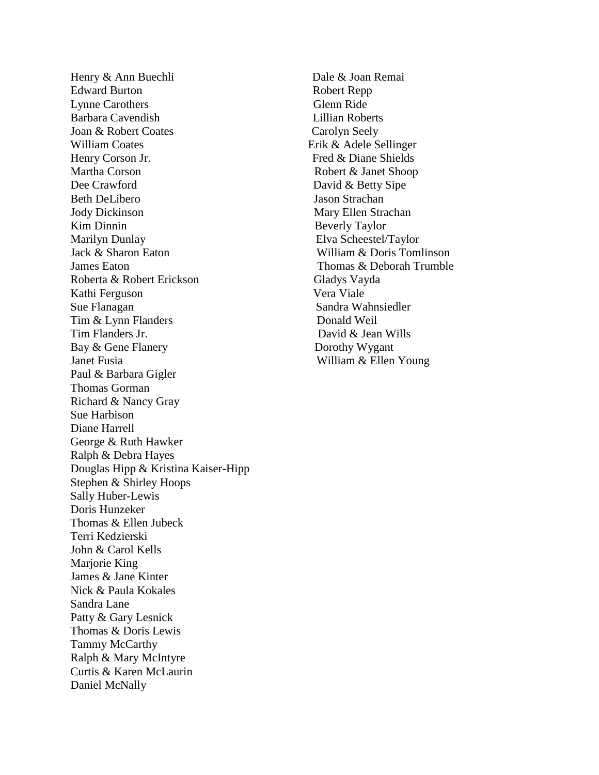Henry & Ann Buechli Dale & Joan Remai Edward Burton Robert Repp Lynne Carothers Glenn Ride Barbara Cavendish Lillian Roberts Joan & Robert Coates Carolyn Seely William Coates Erik & Adele Sellinger Henry Corson Jr. Fred & Diane Shields Martha Corson Robert & Janet Shoop Dee Crawford David & Betty Sipe Beth DeLibero Jason Strachan Jody Dickinson Mary Ellen Strachan Kim Dinnin Beverly Taylor Marilyn Dunlay Elva Scheestel/Taylor Jack & Sharon Eaton William & Doris Tomlinson James Eaton Trumble **Thomas & Deborah Trumble** Roberta & Robert Erickson Gladys Vayda Kathi Ferguson Vera Viale Sue Flanagan Sandra Wahnsiedler Tim & Lynn Flanders Donald Weil Tim Flanders Jr. David & Jean Wills Bay & Gene Flanery Dorothy Wygant Janet Fusia William & Ellen Young Paul & Barbara Gigler Thomas Gorman Richard & Nancy Gray Sue Harbison Diane Harrell George & Ruth Hawker Ralph & Debra Hayes Douglas Hipp & Kristina Kaiser-Hipp Stephen & Shirley Hoops Sally Huber-Lewis Doris Hunzeker Thomas & Ellen Jubeck Terri Kedzierski John & Carol Kells Marjorie King James & Jane Kinter Nick & Paula Kokales Sandra Lane Patty & Gary Lesnick Thomas & Doris Lewis Tammy McCarthy Ralph & Mary McIntyre Curtis & Karen McLaurin Daniel McNally